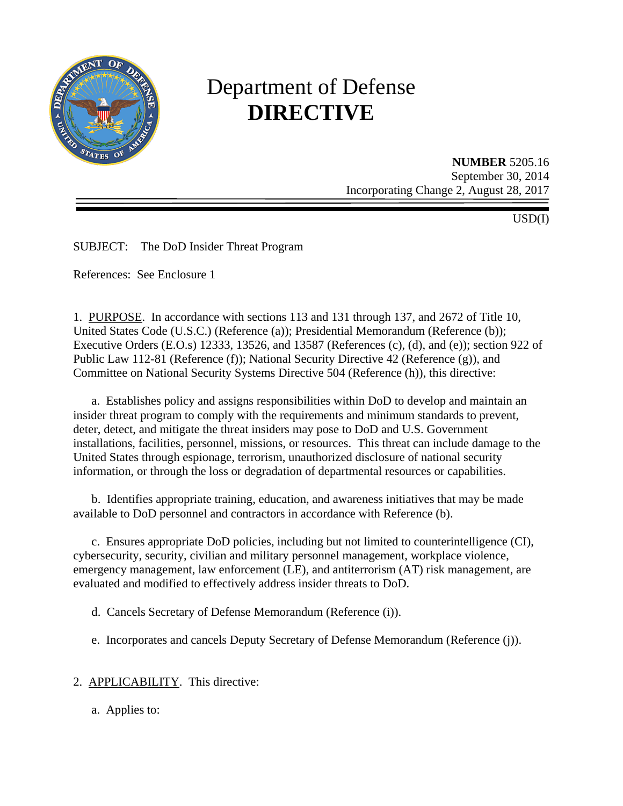

# Department of Defense **DIRECTIVE**

**NUMBER** 5205.16 September 30, 2014 Incorporating Change 2, August 28, 2017

USD(I)

SUBJECT: The DoD Insider Threat Program

References: See Enclosure 1

1. PURPOSE. In accordance with sections 113 and 131 through 137, and 2672 of Title 10, United States Code (U.S.C.) (Reference (a)); Presidential Memorandum (Reference (b)); Executive Orders (E.O.s) 12333, 13526, and 13587 (References (c), (d), and (e)); section 922 of Public Law 112-81 (Reference (f)); National Security Directive 42 (Reference (g)), and Committee on National Security Systems Directive 504 (Reference (h)), this directive:

 a. Establishes policy and assigns responsibilities within DoD to develop and maintain an insider threat program to comply with the requirements and minimum standards to prevent, deter, detect, and mitigate the threat insiders may pose to DoD and U.S. Government installations, facilities, personnel, missions, or resources. This threat can include damage to the United States through espionage, terrorism, unauthorized disclosure of national security information, or through the loss or degradation of departmental resources or capabilities.

 b. Identifies appropriate training, education, and awareness initiatives that may be made available to DoD personnel and contractors in accordance with Reference (b).

 c. Ensures appropriate DoD policies, including but not limited to counterintelligence (CI), cybersecurity, security, civilian and military personnel management, workplace violence, emergency management, law enforcement (LE), and antiterrorism (AT) risk management, are evaluated and modified to effectively address insider threats to DoD.

d. Cancels Secretary of Defense Memorandum (Reference (i)).

e. Incorporates and cancels Deputy Secretary of Defense Memorandum (Reference (j)).

2. APPLICABILITY. This directive:

a. Applies to: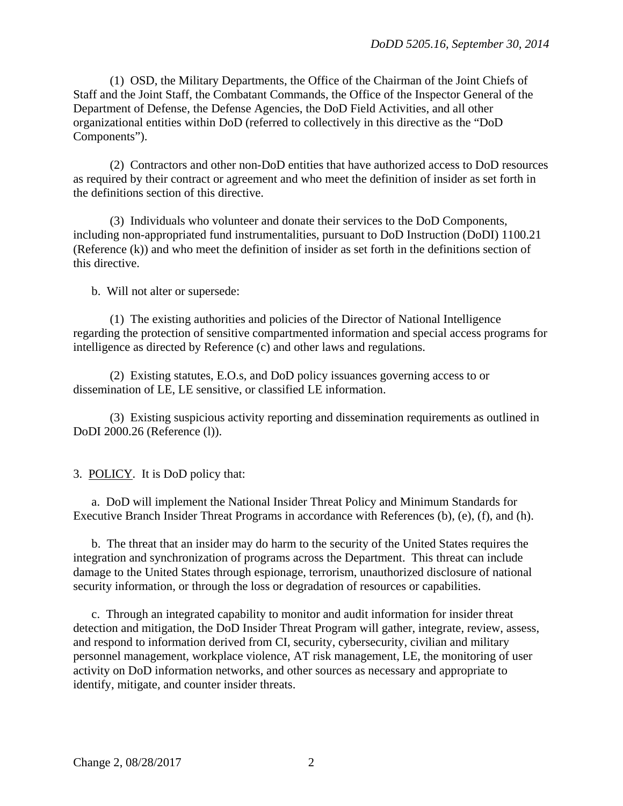(1) OSD, the Military Departments, the Office of the Chairman of the Joint Chiefs of Staff and the Joint Staff, the Combatant Commands, the Office of the Inspector General of the Department of Defense, the Defense Agencies, the DoD Field Activities, and all other organizational entities within DoD (referred to collectively in this directive as the "DoD Components").

 (2) Contractors and other non-DoD entities that have authorized access to DoD resources as required by their contract or agreement and who meet the definition of insider as set forth in the definitions section of this directive.

 (3) Individuals who volunteer and donate their services to the DoD Components, including non-appropriated fund instrumentalities, pursuant to DoD Instruction (DoDI) 1100.21 (Reference (k)) and who meet the definition of insider as set forth in the definitions section of this directive.

b. Will not alter or supersede:

(1) The existing authorities and policies of the Director of National Intelligence regarding the protection of sensitive compartmented information and special access programs for intelligence as directed by Reference (c) and other laws and regulations.

(2) Existing statutes, E.O.s, and DoD policy issuances governing access to or dissemination of LE, LE sensitive, or classified LE information.

(3) Existing suspicious activity reporting and dissemination requirements as outlined in DoDI 2000.26 (Reference (l)).

3. POLICY. It is DoD policy that:

a. DoD will implement the National Insider Threat Policy and Minimum Standards for Executive Branch Insider Threat Programs in accordance with References (b), (e), (f), and (h).

 b. The threat that an insider may do harm to the security of the United States requires the integration and synchronization of programs across the Department. This threat can include damage to the United States through espionage, terrorism, unauthorized disclosure of national security information, or through the loss or degradation of resources or capabilities.

c. Through an integrated capability to monitor and audit information for insider threat detection and mitigation, the DoD Insider Threat Program will gather, integrate, review, assess, and respond to information derived from CI, security, cybersecurity, civilian and military personnel management, workplace violence, AT risk management, LE, the monitoring of user activity on DoD information networks, and other sources as necessary and appropriate to identify, mitigate, and counter insider threats.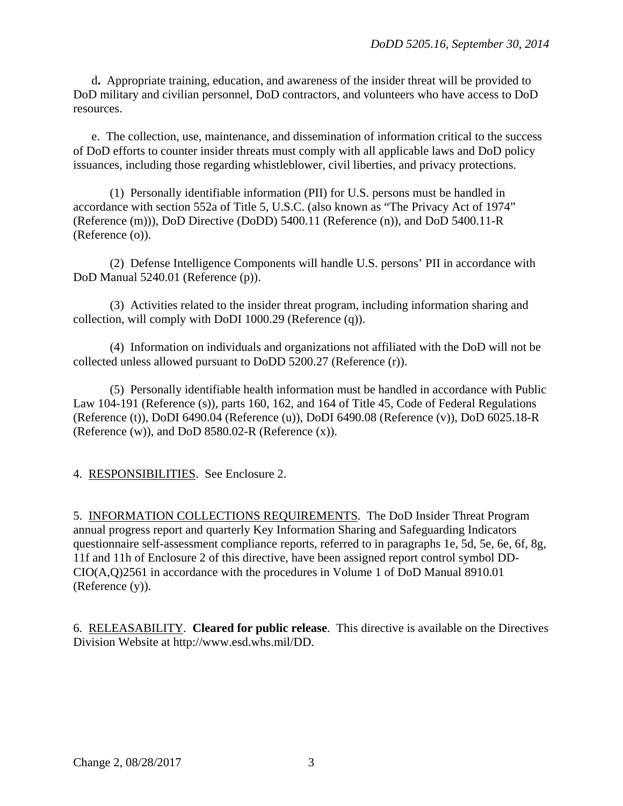d**.** Appropriate training, education, and awareness of the insider threat will be provided to DoD military and civilian personnel, DoD contractors, and volunteers who have access to DoD resources.

 e. The collection, use, maintenance, and dissemination of information critical to the success of DoD efforts to counter insider threats must comply with all applicable laws and DoD policy issuances, including those regarding whistleblower, civil liberties, and privacy protections.

 (1) Personally identifiable information (PII) for U.S. persons must be handled in accordance with section 552a of Title 5, U.S.C. (also known as "The Privacy Act of 1974" (Reference (m))), DoD Directive (DoDD) 5400.11 (Reference (n)), and DoD 5400.11-R (Reference (o)).

 (2) Defense Intelligence Components will handle U.S. persons' PII in accordance with DoD Manual 5240.01 (Reference (p)).

 (3) Activities related to the insider threat program, including information sharing and collection, will comply with DoDI 1000.29 (Reference (q)).

 (4) Information on individuals and organizations not affiliated with the DoD will not be collected unless allowed pursuant to DoDD 5200.27 (Reference (r)).

 (5) Personally identifiable health information must be handled in accordance with Public Law 104-191 (Reference (s)), parts 160, 162, and 164 of Title 45, Code of Federal Regulations (Reference (t)), DoDI 6490.04 (Reference (u)), DoDI 6490.08 (Reference (v)), DoD 6025.18-R (Reference (w)), and DoD 8580.02-R (Reference (x)).

4. RESPONSIBILITIES. See Enclosure 2.

5. INFORMATION COLLECTIONS REQUIREMENTS. The DoD Insider Threat Program annual progress report and quarterly Key Information Sharing and Safeguarding Indicators questionnaire self-assessment compliance reports, referred to in paragraphs 1e, 5d, 5e, 6e, 6f, 8g, 11f and 11h of Enclosure 2 of this directive, have been assigned report control symbol DD-CIO(A,Q)2561 in accordance with the procedures in Volume 1 of DoD Manual 8910.01 (Reference (y)).

6. RELEASABILITY. **Cleared for public release**. This directive is available on the Directives Division Website at http://www.esd.whs.mil/DD.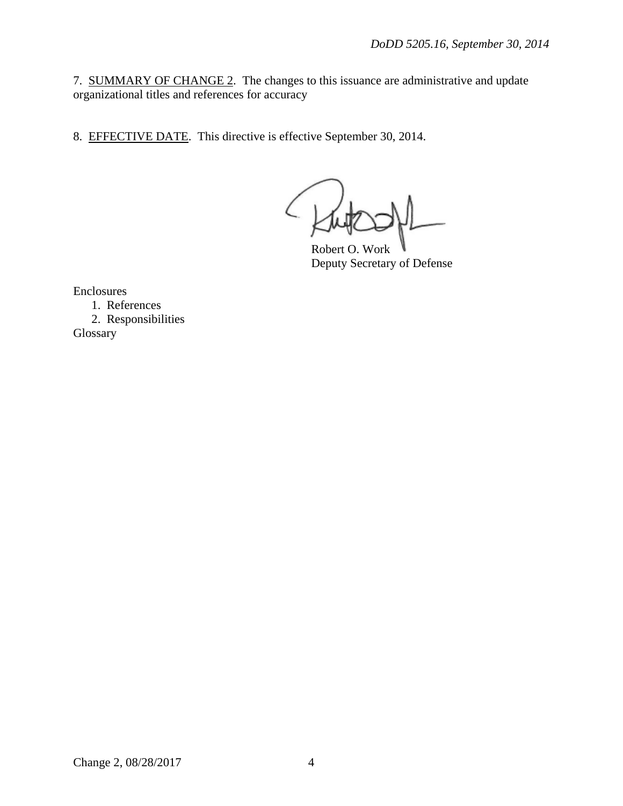7. SUMMARY OF CHANGE 2. The changes to this issuance are administrative and update organizational titles and references for accuracy

8. EFFECTIVE DATE. This directive is effective September 30, 2014.

Robert O. Work Deputy Secretary of Defense

Enclosures

1. References

 2. Responsibilities Glossary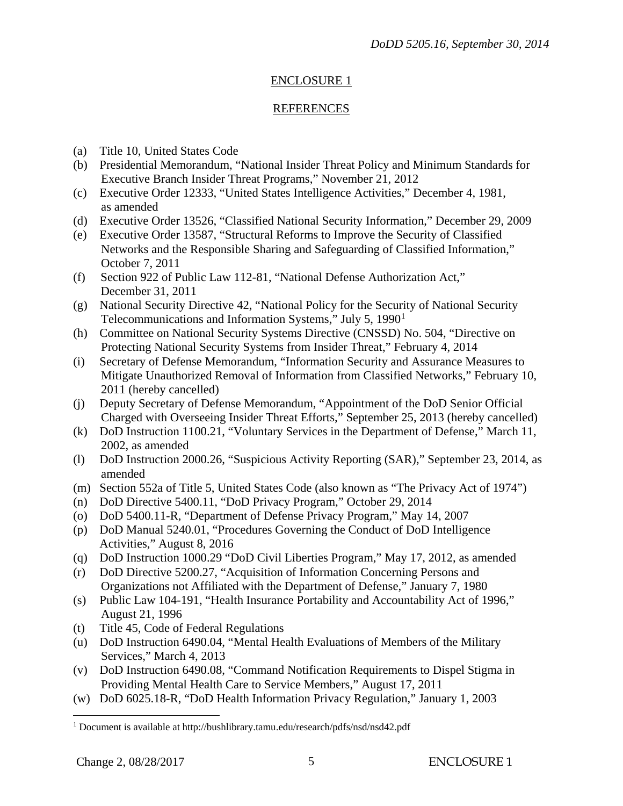# ENCLOSURE 1

## REFERENCES

- (a) Title 10, United States Code
- (b) Presidential Memorandum, "National Insider Threat Policy and Minimum Standards for Executive Branch Insider Threat Programs," November 21, 2012
- (c) Executive Order 12333, "United States Intelligence Activities," December 4, 1981, as amended
- (d) Executive Order 13526, "Classified National Security Information," December 29, 2009
- (e) Executive Order 13587, "Structural Reforms to Improve the Security of Classified Networks and the Responsible Sharing and Safeguarding of Classified Information," October 7, 2011
- (f) Section 922 of Public Law 112-81, "National Defense Authorization Act," December 31, 2011
- Telecommunications and Information Systems," July 5, [1](#page-4-0)990<sup>1</sup> (g) National Security Directive 42, "National Policy for the Security of National Security
- (h) Committee on National Security Systems Directive (CNSSD) No. 504, "Directive on Protecting National Security Systems from Insider Threat," February 4, 2014
- (i) Secretary of Defense Memorandum, "Information Security and Assurance Measures to Mitigate Unauthorized Removal of Information from Classified Networks," February 10, 2011 (hereby cancelled)
- (j) Deputy Secretary of Defense Memorandum, "Appointment of the DoD Senior Official Charged with Overseeing Insider Threat Efforts," September 25, 2013 (hereby cancelled)
- (k) DoD Instruction 1100.21, "Voluntary Services in the Department of Defense," March 11, 2002, as amended
- (l) DoD Instruction 2000.26, "Suspicious Activity Reporting (SAR)," September 23, 2014, as amended
- (m) Section 552a of Title 5, United States Code (also known as "The Privacy Act of 1974")
- (n) DoD Directive 5400.11, "DoD Privacy Program," October 29, 2014
- (o) DoD 5400.11-R, "Department of Defense Privacy Program," May 14, 2007
- (p) DoD Manual 5240.01, "Procedures Governing the Conduct of DoD Intelligence Activities," August 8, 2016
- (q) DoD Instruction 1000.29 "DoD Civil Liberties Program," May 17, 2012, as amended
- (r) DoD Directive 5200.27, "Acquisition of Information Concerning Persons and Organizations not Affiliated with the Department of Defense," January 7, 1980
- (s) Public Law 104-191, "Health Insurance Portability and Accountability Act of 1996," August 21, 1996
- (t) Title 45, Code of Federal Regulations
- (u) DoD Instruction 6490.04, "Mental Health Evaluations of Members of the Military Services," March 4, 2013
- (v) DoD Instruction 6490.08, "Command Notification Requirements to Dispel Stigma in Providing Mental Health Care to Service Members," August 17, 2011
- (w) DoD 6025.18-R, "DoD Health Information Privacy Regulation," January 1, 2003

<span id="page-4-0"></span><sup>&</sup>lt;sup>1</sup> Document is available at http://bushlibrary.tamu.edu/research/pdfs/nsd/nsd42.pdf  $\overline{a}$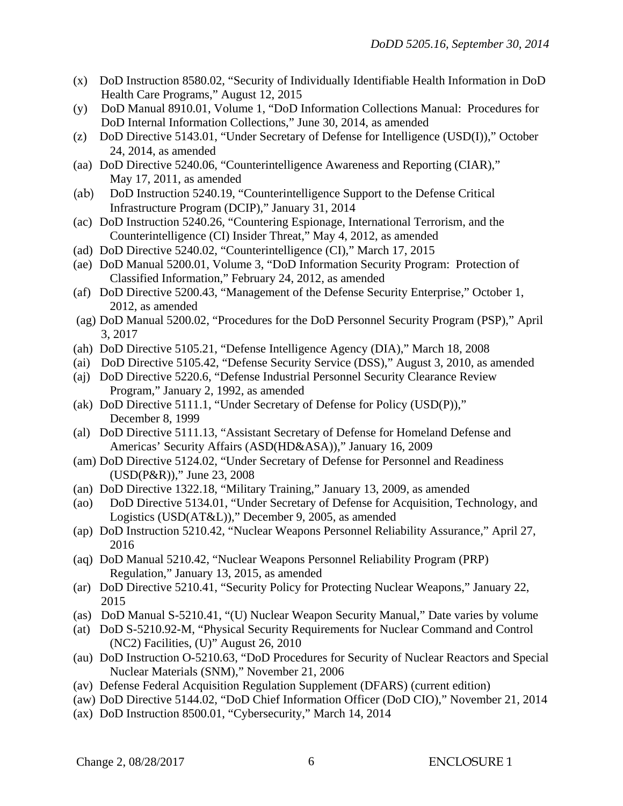- (x) DoD Instruction 8580.02, "Security of Individually Identifiable Health Information in DoD Health Care Programs," August 12, 2015
- (y) DoD Manual 8910.01, Volume 1, "DoD Information Collections Manual: Procedures for DoD Internal Information Collections," June 30, 2014, as amended
- (z) DoD Directive 5143.01, "Under Secretary of Defense for Intelligence (USD(I))," October 24, 2014, as amended
- (aa) DoD Directive 5240.06, "Counterintelligence Awareness and Reporting (CIAR)," May 17, 2011, as amended
- (ab) DoD Instruction 5240.19, "Counterintelligence Support to the Defense Critical Infrastructure Program (DCIP)," January 31, 2014
- (ac) DoD Instruction 5240.26, "Countering Espionage, International Terrorism, and the Counterintelligence (CI) Insider Threat," May 4, 2012, as amended
- (ad) DoD Directive 5240.02, "Counterintelligence (CI)," March 17, 2015
- (ae) DoD Manual 5200.01, Volume 3, "DoD Information Security Program: Protection of Classified Information," February 24, 2012, as amended
- (af) DoD Directive 5200.43, "Management of the Defense Security Enterprise," October 1, 2012, as amended
- (ag) DoD Manual 5200.02, "Procedures for the DoD Personnel Security Program (PSP)," April 3, 2017
- (ah) DoD Directive 5105.21, "Defense Intelligence Agency (DIA)," March 18, 2008
- (ai) DoD Directive 5105.42, "Defense Security Service (DSS)," August 3, 2010, as amended
- (aj) DoD Directive 5220.6, "Defense Industrial Personnel Security Clearance Review Program," January 2, 1992, as amended
- (ak) DoD Directive 5111.1, "Under Secretary of Defense for Policy (USD(P))," December 8, 1999
- (al) DoD Directive 5111.13, "Assistant Secretary of Defense for Homeland Defense and Americas' Security Affairs (ASD(HD&ASA))," January 16, 2009
- (am) DoD Directive 5124.02, "Under Secretary of Defense for Personnel and Readiness (USD(P&R))," June 23, 2008
- (an) DoD Directive 1322.18, "Military Training," January 13, 2009, as amended
- (ao) DoD Directive 5134.01, "Under Secretary of Defense for Acquisition, Technology, and Logistics (USD(AT&L))," December 9, 2005, as amended
- (ap) DoD Instruction 5210.42, "Nuclear Weapons Personnel Reliability Assurance," April 27, 2016
- (aq) DoD Manual 5210.42, "Nuclear Weapons Personnel Reliability Program (PRP) Regulation," January 13, 2015, as amended
- (ar) DoD Directive 5210.41, "Security Policy for Protecting Nuclear Weapons," January 22, 2015
- (as) DoD Manual S-5210.41, "(U) Nuclear Weapon Security Manual," Date varies by volume
- (at) DoD S-5210.92-M, "Physical Security Requirements for Nuclear Command and Control (NC2) Facilities, (U)" August 26, 2010
- (au) DoD Instruction O-5210.63, "DoD Procedures for Security of Nuclear Reactors and Special Nuclear Materials (SNM)," November 21, 2006
- (av) Defense Federal Acquisition Regulation Supplement (DFARS) (current edition)
- (aw) DoD Directive 5144.02, "DoD Chief Information Officer (DoD CIO)," November 21, 2014
- (ax) DoD Instruction 8500.01, "Cybersecurity," March 14, 2014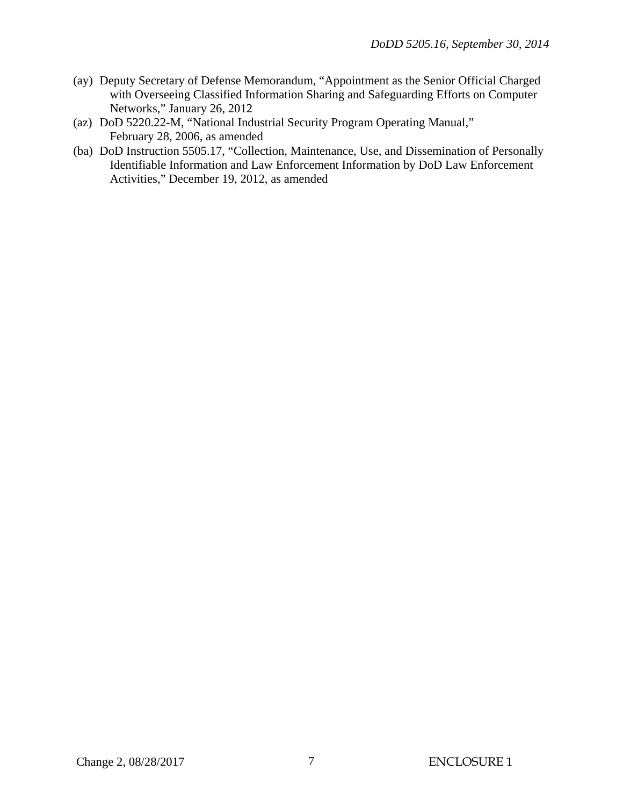- (ay) Deputy Secretary of Defense Memorandum, "Appointment as the Senior Official Charged with Overseeing Classified Information Sharing and Safeguarding Efforts on Computer Networks," January 26, 2012
- (az) DoD 5220.22-M, "National Industrial Security Program Operating Manual," February 28, 2006, as amended
- (ba) DoD Instruction 5505.17, "Collection, Maintenance, Use, and Dissemination of Personally Identifiable Information and Law Enforcement Information by DoD Law Enforcement Activities," December 19, 2012, as amended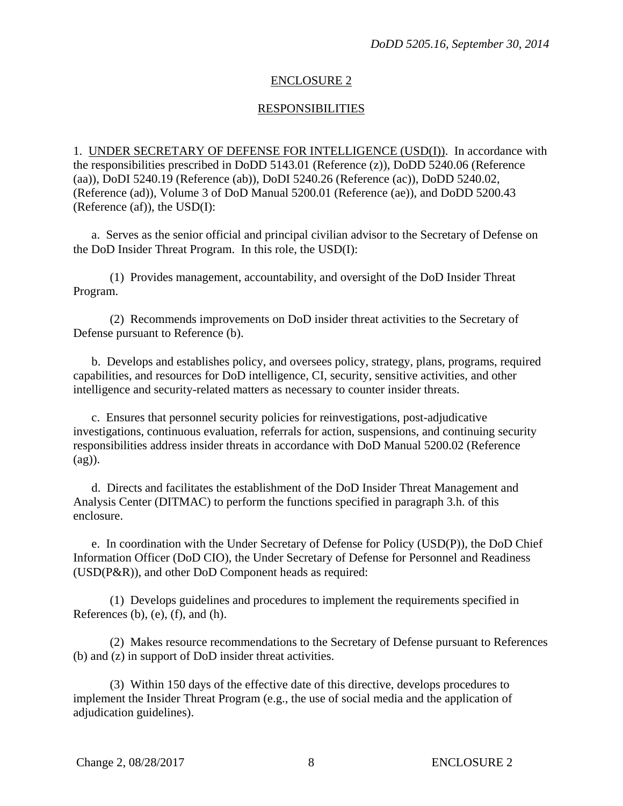#### ENCLOSURE 2

#### RESPONSIBILITIES

1. UNDER SECRETARY OF DEFENSE FOR INTELLIGENCE (USD(I)). In accordance with the responsibilities prescribed in DoDD 5143.01 (Reference (z)), DoDD 5240.06 (Reference (aa)), DoDI 5240.19 (Reference (ab)), DoDI 5240.26 (Reference (ac)), DoDD 5240.02, (Reference (ad)), Volume 3 of DoD Manual 5200.01 (Reference (ae)), and DoDD 5200.43 (Reference (af)), the  $USD(I)$ :

a. Serves as the senior official and principal civilian advisor to the Secretary of Defense on the DoD Insider Threat Program. In this role, the USD(I):

 (1) Provides management, accountability, and oversight of the DoD Insider Threat Program.

 (2) Recommends improvements on DoD insider threat activities to the Secretary of Defense pursuant to Reference (b).

 b. Develops and establishes policy, and oversees policy, strategy, plans, programs, required capabilities, and resources for DoD intelligence, CI, security, sensitive activities, and other intelligence and security-related matters as necessary to counter insider threats.

 c. Ensures that personnel security policies for reinvestigations, post-adjudicative investigations, continuous evaluation, referrals for action, suspensions, and continuing security responsibilities address insider threats in accordance with DoD Manual 5200.02 (Reference (ag)).

 d. Directs and facilitates the establishment of the DoD Insider Threat Management and Analysis Center (DITMAC) to perform the functions specified in paragraph 3.h. of this enclosure.

 e. In coordination with the Under Secretary of Defense for Policy (USD(P)), the DoD Chief Information Officer (DoD CIO), the Under Secretary of Defense for Personnel and Readiness (USD(P&R)), and other DoD Component heads as required:

 (1) Develops guidelines and procedures to implement the requirements specified in References  $(b)$ ,  $(e)$ ,  $(f)$ , and  $(h)$ .

 (2) Makes resource recommendations to the Secretary of Defense pursuant to References (b) and (z) in support of DoD insider threat activities.

 (3) Within 150 days of the effective date of this directive, develops procedures to implement the Insider Threat Program (e.g., the use of social media and the application of adjudication guidelines).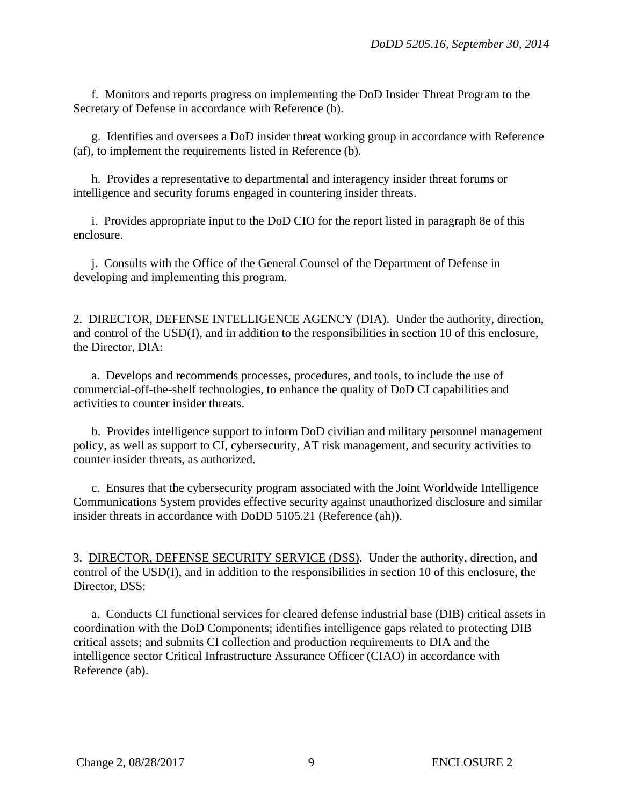f. Monitors and reports progress on implementing the DoD Insider Threat Program to the Secretary of Defense in accordance with Reference (b).

 g. Identifies and oversees a DoD insider threat working group in accordance with Reference (af), to implement the requirements listed in Reference (b).

 h. Provides a representative to departmental and interagency insider threat forums or intelligence and security forums engaged in countering insider threats.

 i. Provides appropriate input to the DoD CIO for the report listed in paragraph 8e of this enclosure.

 j. Consults with the Office of the General Counsel of the Department of Defense in developing and implementing this program.

2. DIRECTOR, DEFENSE INTELLIGENCE AGENCY (DIA). Under the authority, direction, and control of the USD(I), and in addition to the responsibilities in section 10 of this enclosure, the Director, DIA:

 a. Develops and recommends processes, procedures, and tools, to include the use of commercial-off-the-shelf technologies, to enhance the quality of DoD CI capabilities and activities to counter insider threats.

 b. Provides intelligence support to inform DoD civilian and military personnel management policy, as well as support to CI, cybersecurity, AT risk management, and security activities to counter insider threats, as authorized.

 c. Ensures that the cybersecurity program associated with the Joint Worldwide Intelligence Communications System provides effective security against unauthorized disclosure and similar insider threats in accordance with DoDD 5105.21 (Reference (ah)).

3. DIRECTOR, DEFENSE SECURITY SERVICE (DSS). Under the authority, direction, and control of the USD(I), and in addition to the responsibilities in section 10 of this enclosure, the Director, DSS:

 a. Conducts CI functional services for cleared defense industrial base (DIB) critical assets in coordination with the DoD Components; identifies intelligence gaps related to protecting DIB critical assets; and submits CI collection and production requirements to DIA and the intelligence sector Critical Infrastructure Assurance Officer (CIAO) in accordance with Reference (ab).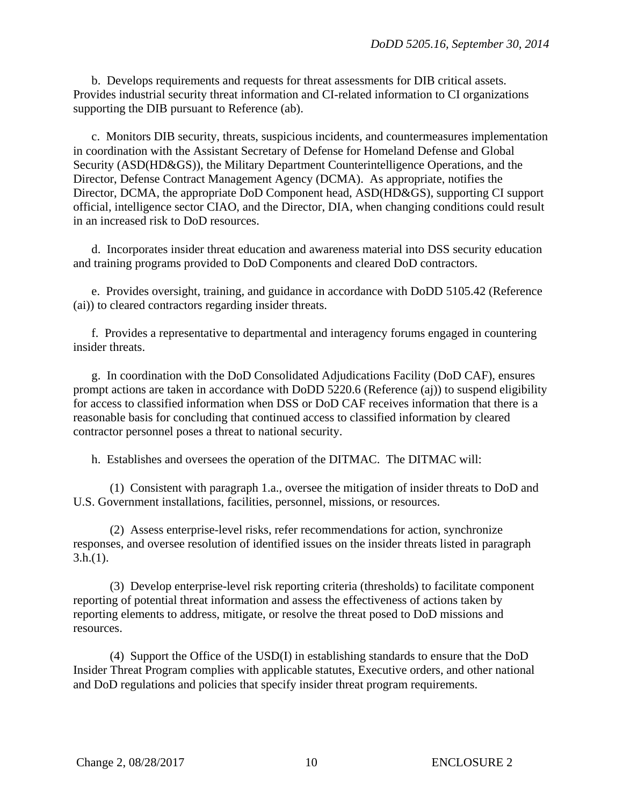b. Develops requirements and requests for threat assessments for DIB critical assets. Provides industrial security threat information and CI-related information to CI organizations supporting the DIB pursuant to Reference (ab).

c. Monitors DIB security, threats, suspicious incidents, and countermeasures implementation in coordination with the Assistant Secretary of Defense for Homeland Defense and Global Security (ASD(HD&GS)), the Military Department Counterintelligence Operations, and the Director, Defense Contract Management Agency (DCMA). As appropriate, notifies the Director, DCMA, the appropriate DoD Component head, ASD(HD&GS), supporting CI support official, intelligence sector CIAO, and the Director, DIA, when changing conditions could result in an increased risk to DoD resources.

d. Incorporates insider threat education and awareness material into DSS security education and training programs provided to DoD Components and cleared DoD contractors.

 e. Provides oversight, training, and guidance in accordance with DoDD 5105.42 (Reference (ai)) to cleared contractors regarding insider threats.

 f. Provides a representative to departmental and interagency forums engaged in countering insider threats.

 g. In coordination with the DoD Consolidated Adjudications Facility (DoD CAF), ensures prompt actions are taken in accordance with DoDD 5220.6 (Reference (aj)) to suspend eligibility for access to classified information when DSS or DoD CAF receives information that there is a reasonable basis for concluding that continued access to classified information by cleared contractor personnel poses a threat to national security.

h. Establishes and oversees the operation of the DITMAC. The DITMAC will:

(1) Consistent with paragraph 1.a., oversee the mitigation of insider threats to DoD and U.S. Government installations, facilities, personnel, missions, or resources.

(2) Assess enterprise-level risks, refer recommendations for action, synchronize responses, and oversee resolution of identified issues on the insider threats listed in paragraph  $3.h.(1)$ .

(3) Develop enterprise-level risk reporting criteria (thresholds) to facilitate component reporting of potential threat information and assess the effectiveness of actions taken by reporting elements to address, mitigate, or resolve the threat posed to DoD missions and resources.

(4) Support the Office of the USD(I) in establishing standards to ensure that the DoD Insider Threat Program complies with applicable statutes, Executive orders, and other national and DoD regulations and policies that specify insider threat program requirements.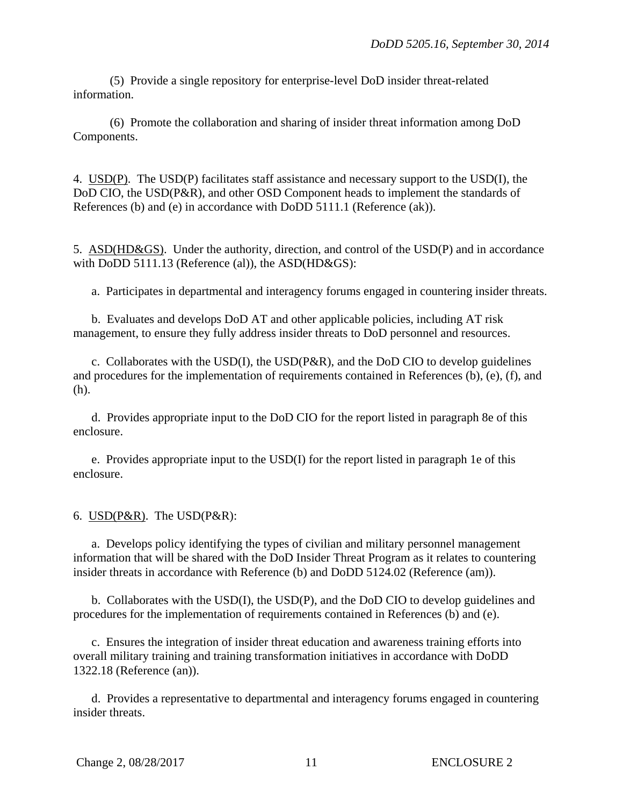(5) Provide a single repository for enterprise-level DoD insider threat-related information.

(6) Promote the collaboration and sharing of insider threat information among DoD Components.

4. USD(P). The USD(P) facilitates staff assistance and necessary support to the USD(I), the DoD CIO, the USD(P&R), and other OSD Component heads to implement the standards of References (b) and (e) in accordance with DoDD 5111.1 (Reference (ak)).

5. ASD(HD&GS). Under the authority, direction, and control of the USD(P) and in accordance with DoDD 5111.13 (Reference (al)), the ASD(HD&GS):

a. Participates in departmental and interagency forums engaged in countering insider threats.

 b. Evaluates and develops DoD AT and other applicable policies, including AT risk management, to ensure they fully address insider threats to DoD personnel and resources.

c. Collaborates with the  $USD(I)$ , the  $USD(P\&R)$ , and the DoD CIO to develop guidelines and procedures for the implementation of requirements contained in References (b), (e), (f), and (h).

 d. Provides appropriate input to the DoD CIO for the report listed in paragraph 8e of this enclosure.

 e. Provides appropriate input to the USD(I) for the report listed in paragraph 1e of this enclosure.

#### 6. USD(P&R). The USD(P&R):

 a. Develops policy identifying the types of civilian and military personnel management information that will be shared with the DoD Insider Threat Program as it relates to countering insider threats in accordance with Reference (b) and DoDD 5124.02 (Reference (am)).

 b. Collaborates with the USD(I), the USD(P), and the DoD CIO to develop guidelines and procedures for the implementation of requirements contained in References (b) and (e).

 c. Ensures the integration of insider threat education and awareness training efforts into overall military training and training transformation initiatives in accordance with DoDD 1322.18 (Reference (an)).

 d. Provides a representative to departmental and interagency forums engaged in countering insider threats.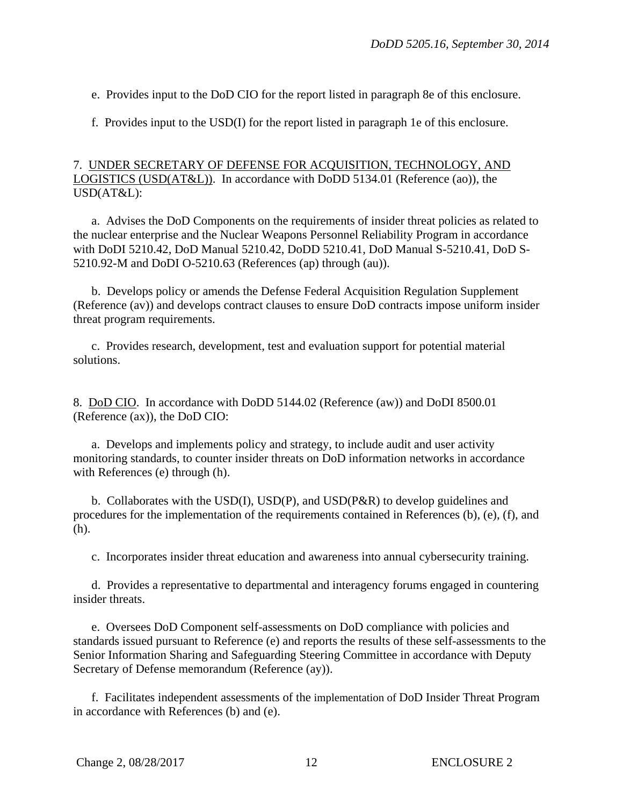e. Provides input to the DoD CIO for the report listed in paragraph 8e of this enclosure.

f. Provides input to the USD(I) for the report listed in paragraph 1e of this enclosure.

## 7. UNDER SECRETARY OF DEFENSE FOR ACQUISITION, TECHNOLOGY, AND LOGISTICS (USD(AT&L)). In accordance with DoDD 5134.01 (Reference (ao)), the USD(AT&L):

a. Advises the DoD Components on the requirements of insider threat policies as related to the nuclear enterprise and the Nuclear Weapons Personnel Reliability Program in accordance with DoDI 5210.42, DoD Manual 5210.42, DoDD 5210.41, DoD Manual S-5210.41, DoD S-5210.92-M and DoDI O-5210.63 (References (ap) through (au)).

b. Develops policy or amends the Defense Federal Acquisition Regulation Supplement (Reference (av)) and develops contract clauses to ensure DoD contracts impose uniform insider threat program requirements.

c. Provides research, development, test and evaluation support for potential material solutions.

8. DoD CIO. In accordance with DoDD 5144.02 (Reference (aw)) and DoDI 8500.01 (Reference (ax)), the DoD CIO:

 a. Develops and implements policy and strategy, to include audit and user activity monitoring standards, to counter insider threats on DoD information networks in accordance with References (e) through (h).

b. Collaborates with the USD(I), USD(P), and USD( $P\&R$ ) to develop guidelines and procedures for the implementation of the requirements contained in References (b), (e), (f), and (h).

c. Incorporates insider threat education and awareness into annual cybersecurity training.

 d. Provides a representative to departmental and interagency forums engaged in countering insider threats.

 e. Oversees DoD Component self-assessments on DoD compliance with policies and standards issued pursuant to Reference (e) and reports the results of these self-assessments to the Senior Information Sharing and Safeguarding Steering Committee in accordance with Deputy Secretary of Defense memorandum (Reference (ay)).

 f. Facilitates independent assessments of the implementation of DoD Insider Threat Program in accordance with References (b) and (e).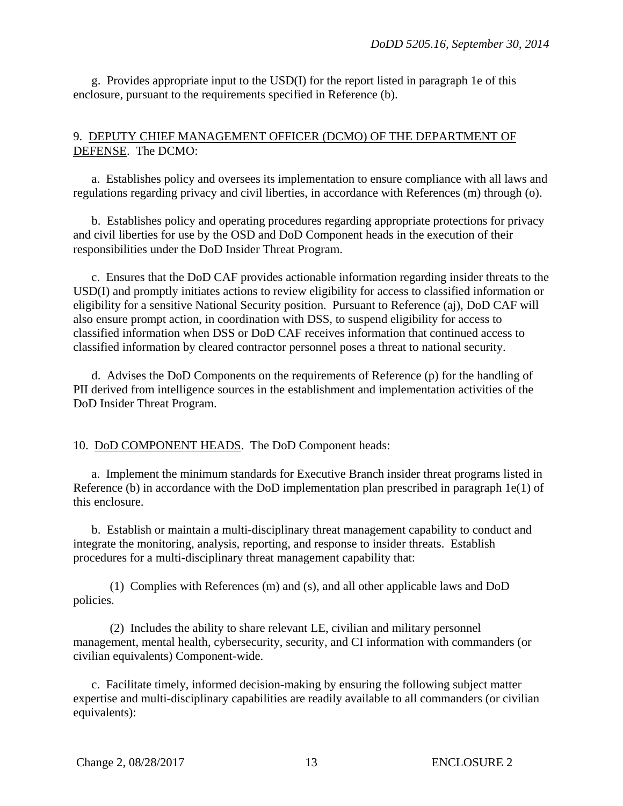g. Provides appropriate input to the USD(I) for the report listed in paragraph 1e of this enclosure, pursuant to the requirements specified in Reference (b).

## 9. DEPUTY CHIEF MANAGEMENT OFFICER (DCMO) OF THE DEPARTMENT OF DEFENSE. The DCMO:

 a. Establishes policy and oversees its implementation to ensure compliance with all laws and regulations regarding privacy and civil liberties, in accordance with References (m) through (o).

 b. Establishes policy and operating procedures regarding appropriate protections for privacy and civil liberties for use by the OSD and DoD Component heads in the execution of their responsibilities under the DoD Insider Threat Program.

 c. Ensures that the DoD CAF provides actionable information regarding insider threats to the USD(I) and promptly initiates actions to review eligibility for access to classified information or eligibility for a sensitive National Security position. Pursuant to Reference (aj), DoD CAF will also ensure prompt action, in coordination with DSS, to suspend eligibility for access to classified information when DSS or DoD CAF receives information that continued access to classified information by cleared contractor personnel poses a threat to national security.

 d. Advises the DoD Components on the requirements of Reference (p) for the handling of PII derived from intelligence sources in the establishment and implementation activities of the DoD Insider Threat Program.

10. DoD COMPONENT HEADS. The DoD Component heads:

 a. Implement the minimum standards for Executive Branch insider threat programs listed in Reference (b) in accordance with the DoD implementation plan prescribed in paragraph 1e(1) of this enclosure.

 b. Establish or maintain a multi-disciplinary threat management capability to conduct and integrate the monitoring, analysis, reporting, and response to insider threats. Establish procedures for a multi-disciplinary threat management capability that:

(1) Complies with References (m) and (s), and all other applicable laws and DoD policies.

(2) Includes the ability to share relevant LE, civilian and military personnel management, mental health, cybersecurity, security, and CI information with commanders (or civilian equivalents) Component-wide.

c. Facilitate timely, informed decision-making by ensuring the following subject matter expertise and multi-disciplinary capabilities are readily available to all commanders (or civilian equivalents):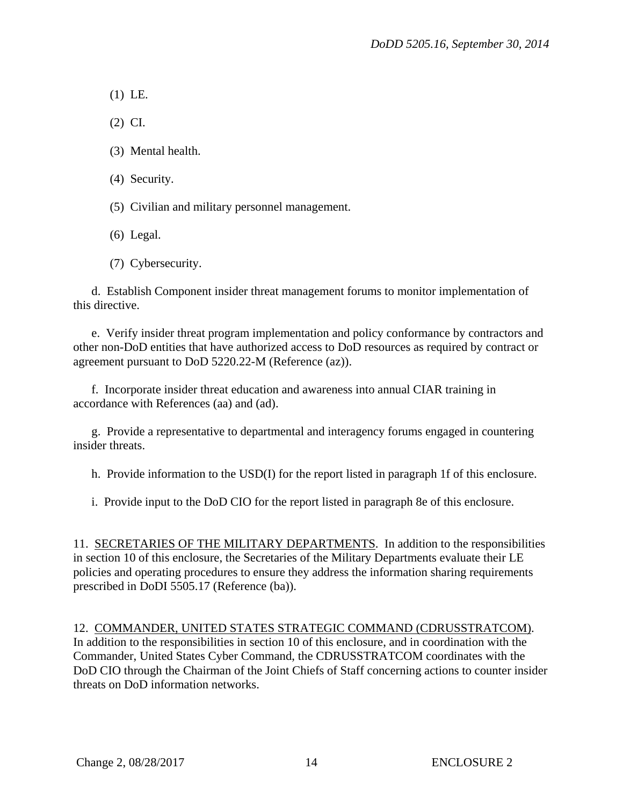(1) LE.

(2) CI.

- (3) Mental health.
- (4) Security.
- (5) Civilian and military personnel management.
- (6) Legal.
- (7) Cybersecurity.

 d. Establish Component insider threat management forums to monitor implementation of this directive.

 e. Verify insider threat program implementation and policy conformance by contractors and other non-DoD entities that have authorized access to DoD resources as required by contract or agreement pursuant to DoD 5220.22-M (Reference (az)).

f. Incorporate insider threat education and awareness into annual CIAR training in accordance with References (aa) and (ad).

 g. Provide a representative to departmental and interagency forums engaged in countering insider threats.

h. Provide information to the USD(I) for the report listed in paragraph 1f of this enclosure.

i. Provide input to the DoD CIO for the report listed in paragraph 8e of this enclosure.

11. SECRETARIES OF THE MILITARY DEPARTMENTS. In addition to the responsibilities in section 10 of this enclosure, the Secretaries of the Military Departments evaluate their LE policies and operating procedures to ensure they address the information sharing requirements prescribed in DoDI 5505.17 (Reference (ba)).

#### 12. COMMANDER, UNITED STATES STRATEGIC COMMAND (CDRUSSTRATCOM). In addition to the responsibilities in section 10 of this enclosure, and in coordination with the Commander, United States Cyber Command, the CDRUSSTRATCOM coordinates with the DoD CIO through the Chairman of the Joint Chiefs of Staff concerning actions to counter insider threats on DoD information networks.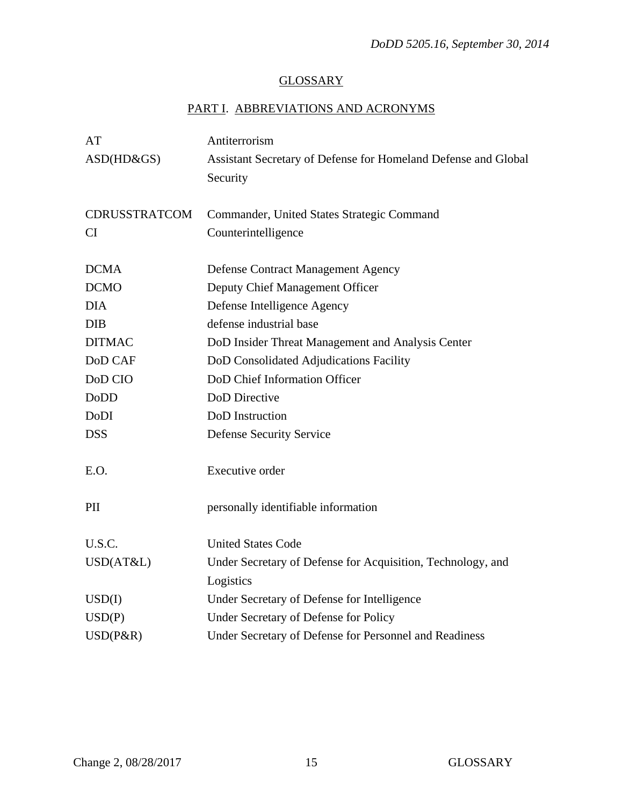# **GLOSSARY**

# PART I. ABBREVIATIONS AND ACRONYMS

| AT                   | Antiterrorism                                                  |
|----------------------|----------------------------------------------------------------|
| $ASD(HD\&GS)$        | Assistant Secretary of Defense for Homeland Defense and Global |
|                      | Security                                                       |
|                      |                                                                |
| <b>CDRUSSTRATCOM</b> | Commander, United States Strategic Command                     |
| CI                   | Counterintelligence                                            |
|                      |                                                                |
| <b>DCMA</b>          | <b>Defense Contract Management Agency</b>                      |
| <b>DCMO</b>          | Deputy Chief Management Officer                                |
| <b>DIA</b>           | Defense Intelligence Agency                                    |
| <b>DIB</b>           | defense industrial base                                        |
| <b>DITMAC</b>        | DoD Insider Threat Management and Analysis Center              |
| DoD CAF              | DoD Consolidated Adjudications Facility                        |
| DoD CIO              | DoD Chief Information Officer                                  |
| <b>DoDD</b>          | <b>DoD</b> Directive                                           |
| DoDI                 | DoD Instruction                                                |
| <b>DSS</b>           | <b>Defense Security Service</b>                                |
|                      |                                                                |
| E.O.                 | Executive order                                                |
|                      |                                                                |
| PII                  | personally identifiable information                            |
|                      |                                                                |
| U.S.C.               | <b>United States Code</b>                                      |
| USD(AT&L)            | Under Secretary of Defense for Acquisition, Technology, and    |
|                      | Logistics                                                      |
| USD(I)               | Under Secretary of Defense for Intelligence                    |
| USD(P)               | Under Secretary of Defense for Policy                          |
| USD(P&R)             | Under Secretary of Defense for Personnel and Readiness         |